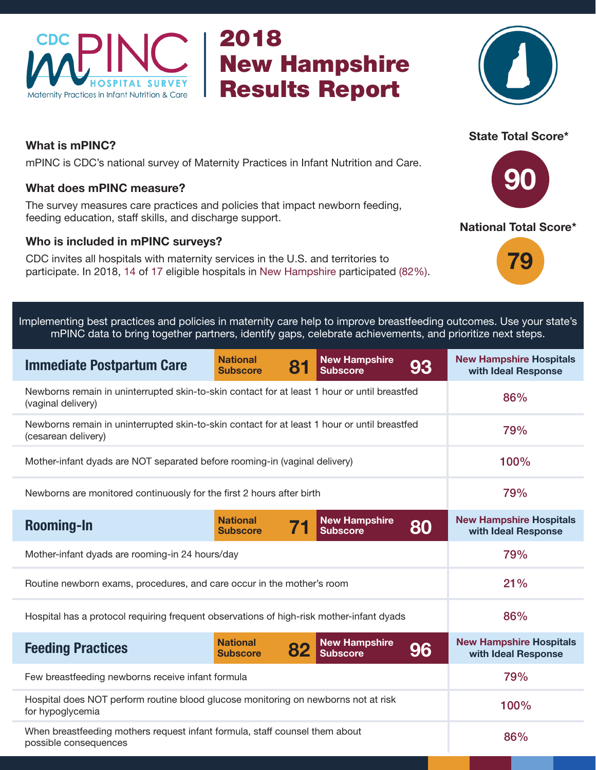

## 2018 New Hampshire Results Report



### What is mPINC?

mPINC is CDC's national survey of Maternity Practices in Infant Nutrition and Care.

#### What does mPINC measure?

The survey measures care practices and policies that impact newborn feeding, feeding education, staff skills, and discharge support.

#### Who is included in mPINC surveys?

CDC invites all hospitals with maternity services in the U.S. and territories to participate. In 2018, 14 of 17 eligible hospitals in New Hampshire participated (82%).

# 90

State Total Score\*





Implementing best practices and policies in maternity care help to improve breastfeeding outcomes. Use your state's mPINC data to bring together partners, identify gaps, celebrate achievements, and prioritize next steps.

| <b>Immediate Postpartum Care</b>                                                                                    | <b>National</b><br><b>Subscore</b> | 8  | <b>New Hampshire</b><br><b>Subscore</b> | 93 | <b>New Hampshire Hospitals</b><br>with Ideal Response |
|---------------------------------------------------------------------------------------------------------------------|------------------------------------|----|-----------------------------------------|----|-------------------------------------------------------|
| Newborns remain in uninterrupted skin-to-skin contact for at least 1 hour or until breastfed<br>(vaginal delivery)  | 86%                                |    |                                         |    |                                                       |
| Newborns remain in uninterrupted skin-to-skin contact for at least 1 hour or until breastfed<br>(cesarean delivery) | 79%                                |    |                                         |    |                                                       |
| Mother-infant dyads are NOT separated before rooming-in (vaginal delivery)                                          | 100%                               |    |                                         |    |                                                       |
| Newborns are monitored continuously for the first 2 hours after birth                                               | 79%                                |    |                                         |    |                                                       |
| <b>Rooming-In</b>                                                                                                   | <b>National</b><br><b>Subscore</b> |    | <b>New Hampshire</b><br><b>Subscore</b> | 80 | <b>New Hampshire Hospitals</b><br>with Ideal Response |
| Mother-infant dyads are rooming-in 24 hours/day                                                                     | 79%                                |    |                                         |    |                                                       |
| Routine newborn exams, procedures, and care occur in the mother's room                                              | 21%                                |    |                                         |    |                                                       |
| Hospital has a protocol requiring frequent observations of high-risk mother-infant dyads                            | 86%                                |    |                                         |    |                                                       |
| <b>Feeding Practices</b>                                                                                            | <b>National</b><br><b>Subscore</b> | 82 | <b>New Hampshire</b><br><b>Subscore</b> | 96 | <b>New Hampshire Hospitals</b><br>with Ideal Response |
| Few breastfeeding newborns receive infant formula                                                                   | 79%                                |    |                                         |    |                                                       |
| Hospital does NOT perform routine blood glucose monitoring on newborns not at risk<br>for hypoglycemia              | 100%                               |    |                                         |    |                                                       |
| When breastfeeding mothers request infant formula, staff counsel them about<br>possible consequences                | 86%                                |    |                                         |    |                                                       |